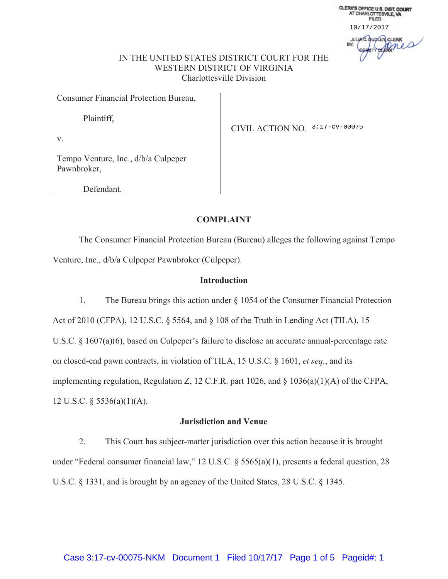CLERK'S OFFICE U.S. DIST. COURT<br>AT CHARLOTTESVILE, VA **FILED** 10/17/2017 **JULIA C. QUOCER CLERK** pres

## IN THE UNITED STATES DISTRICT COURT FOR THE WESTERN DISTRICT OF VIRGINIA Charlottesville Division

Consumer Financial Protection Bureau,

Plaintiff,

CIVIL ACTION NO. 3:17-cv-00075

v.

Tempo Venture, Inc., d/b/a Culpeper Pawnbroker,

Defendant.

## **COMPLAINT**

The Consumer Financial Protection Bureau (Bureau) alleges the following against Tempo Venture, Inc., d/b/a Culpeper Pawnbroker (Culpeper).

## **Introduction**

1. The Bureau brings this action under § 1054 of the Consumer Financial Protection Act of 2010 (CFPA), 12 U.S.C. § 5564, and § 108 of the Truth in Lending Act (TILA), 15 U.S.C. § 1607(a)(6), based on Culpeper's failure to disclose an accurate annual-percentage rate on closed-end pawn contracts, in violation of TILA, 15 U.S.C. § 1601, *et seq.*, and its implementing regulation, Regulation Z, 12 C.F.R. part 1026, and § 1036(a)(1)(A) of the CFPA, 12 U.S.C. § 5536(a)(1)(A).

## **Jurisdiction and Venue**

2. This Court has subject-matter jurisdiction over this action because it is brought under "Federal consumer financial law," 12 U.S.C. § 5565(a)(1), presents a federal question, 28 U.S.C. § 1331, and is brought by an agency of the United States, 28 U.S.C. § 1345.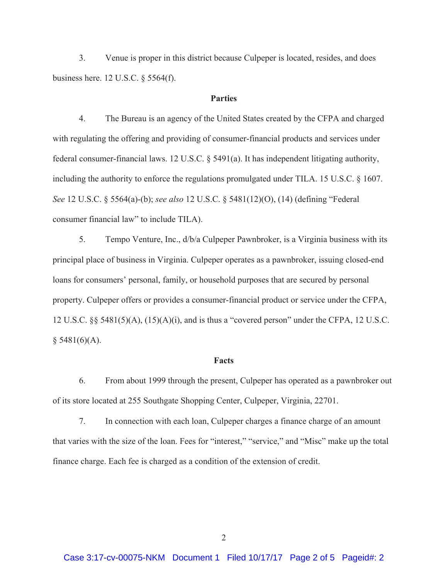3. Venue is proper in this district because Culpeper is located, resides, and does business here. 12 U.S.C. § 5564(f).

# **Parties**

4. The Bureau is an agency of the United States created by the CFPA and charged with regulating the offering and providing of consumer-financial products and services under federal consumer-financial laws. 12 U.S.C. § 5491(a). It has independent litigating authority, including the authority to enforce the regulations promulgated under TILA. 15 U.S.C. § 1607. *See* 12 U.S.C. § 5564(a)-(b); *see also* 12 U.S.C. § 5481(12)(O), (14) (defining "Federal consumer financial law" to include TILA).

5. Tempo Venture, Inc., d/b/a Culpeper Pawnbroker, is a Virginia business with its principal place of business in Virginia. Culpeper operates as a pawnbroker, issuing closed-end loans for consumers' personal, family, or household purposes that are secured by personal property. Culpeper offers or provides a consumer-financial product or service under the CFPA, 12 U.S.C. §§ 5481(5)(A), (15)(A)(i), and is thus a "covered person" under the CFPA, 12 U.S.C.  $§ 5481(6)(A).$ 

#### **Facts**

6. From about 1999 through the present, Culpeper has operated as a pawnbroker out of its store located at 255 Southgate Shopping Center, Culpeper, Virginia, 22701.

7. In connection with each loan, Culpeper charges a finance charge of an amount that varies with the size of the loan. Fees for "interest," "service," and "Misc" make up the total finance charge. Each fee is charged as a condition of the extension of credit.

2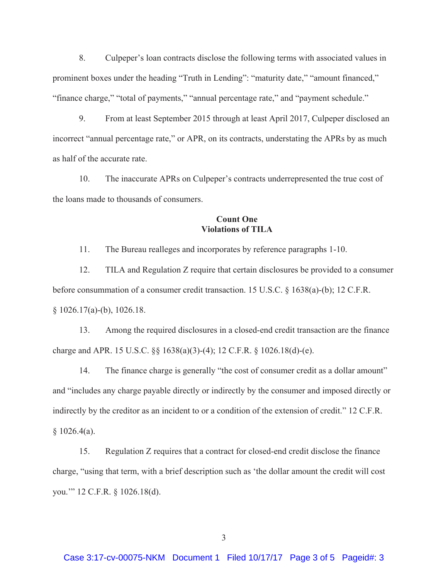8. Culpeper's loan contracts disclose the following terms with associated values in prominent boxes under the heading "Truth in Lending": "maturity date," "amount financed," "finance charge," "total of payments," "annual percentage rate," and "payment schedule."

9. From at least September 2015 through at least April 2017, Culpeper disclosed an incorrect "annual percentage rate," or APR, on its contracts, understating the APRs by as much as half of the accurate rate.

10. The inaccurate APRs on Culpeper's contracts underrepresented the true cost of the loans made to thousands of consumers.

# **Count One Violations of TILA**

11. The Bureau realleges and incorporates by reference paragraphs 1-10.

12. TILA and Regulation Z require that certain disclosures be provided to a consumer before consummation of a consumer credit transaction. 15 U.S.C. § 1638(a)-(b); 12 C.F.R. § 1026.17(a)-(b), 1026.18.

13. Among the required disclosures in a closed-end credit transaction are the finance charge and APR. 15 U.S.C. §§ 1638(a)(3)-(4); 12 C.F.R. § 1026.18(d)-(e).

14. The finance charge is generally "the cost of consumer credit as a dollar amount" and "includes any charge payable directly or indirectly by the consumer and imposed directly or indirectly by the creditor as an incident to or a condition of the extension of credit." 12 C.F.R.  $§ 1026.4(a).$ 

15. Regulation Z requires that a contract for closed-end credit disclose the finance charge, "using that term, with a brief description such as 'the dollar amount the credit will cost you.'" 12 C.F.R. § 1026.18(d).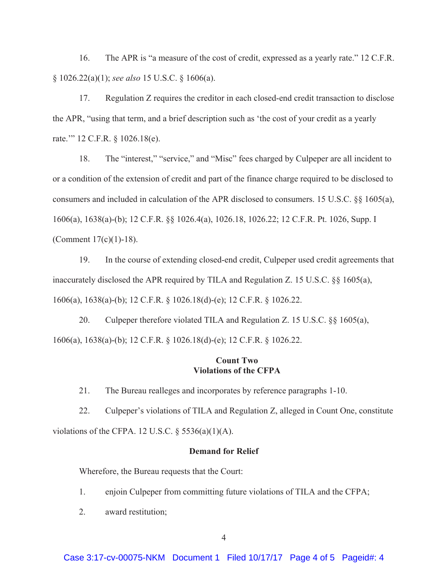16. The APR is "a measure of the cost of credit, expressed as a yearly rate." 12 C.F.R. § 1026.22(a)(1); *see also* 15 U.S.C. § 1606(a).

17. Regulation Z requires the creditor in each closed-end credit transaction to disclose the APR, "using that term, and a brief description such as 'the cost of your credit as a yearly rate.'" 12 C.F.R. § 1026.18(e).

18. The "interest," "service," and "Misc" fees charged by Culpeper are all incident to or a condition of the extension of credit and part of the finance charge required to be disclosed to consumers and included in calculation of the APR disclosed to consumers. 15 U.S.C. §§ 1605(a), 1606(a), 1638(a)-(b); 12 C.F.R. §§ 1026.4(a), 1026.18, 1026.22; 12 C.F.R. Pt. 1026, Supp. I (Comment 17(c)(1)-18).

19. In the course of extending closed-end credit, Culpeper used credit agreements that inaccurately disclosed the APR required by TILA and Regulation Z. 15 U.S.C.  $\S$  1605(a), 1606(a), 1638(a)-(b); 12 C.F.R. § 1026.18(d)-(e); 12 C.F.R. § 1026.22.

20. Culpeper therefore violated TILA and Regulation Z. 15 U.S.C. §§ 1605(a), 1606(a), 1638(a)-(b); 12 C.F.R. § 1026.18(d)-(e); 12 C.F.R. § 1026.22.

## **Count Two Violations of the CFPA**

21. The Bureau realleges and incorporates by reference paragraphs 1-10.

22. Culpeper's violations of TILA and Regulation Z, alleged in Count One, constitute violations of the CFPA. 12 U.S.C.  $\S$  5536(a)(1)(A).

## **Demand for Relief**

Wherefore, the Bureau requests that the Court:

- 1. enjoin Culpeper from committing future violations of TILA and the CFPA;
- 2. award restitution;